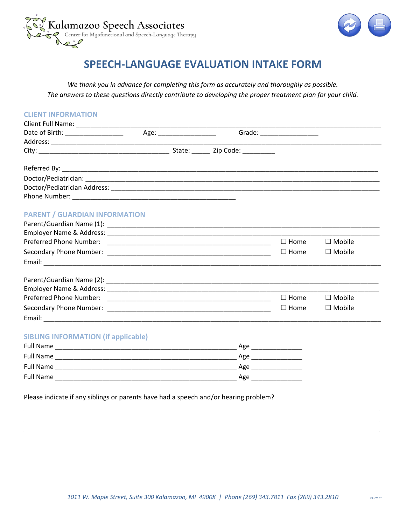



# **SPEECH-LANGUAGE EVALUATION INTAKE FORM**

*We thank you in advance for completing this form as accurately and thoroughly as possible. The answers to these questions directly contribute to developing the proper treatment plan for your child.* 

| <b>CLIENT INFORMATION</b>                  |  |                               |                  |
|--------------------------------------------|--|-------------------------------|------------------|
|                                            |  |                               |                  |
|                                            |  | Grade: ______________________ |                  |
|                                            |  |                               |                  |
|                                            |  |                               |                  |
|                                            |  |                               |                  |
|                                            |  |                               |                  |
|                                            |  |                               |                  |
| <b>PARENT / GUARDIAN INFORMATION</b>       |  |                               |                  |
|                                            |  |                               |                  |
|                                            |  |                               |                  |
|                                            |  | $\Box$ Home                   | $\square$ Mobile |
|                                            |  | $\Box$ Home                   | $\Box$ Mobile    |
|                                            |  |                               |                  |
|                                            |  |                               |                  |
|                                            |  |                               |                  |
|                                            |  | $\Box$ Home                   | $\square$ Mobile |
|                                            |  | $\square$ Home                | $\Box$ Mobile    |
|                                            |  |                               |                  |
| <b>SIBLING INFORMATION (if applicable)</b> |  |                               |                  |
|                                            |  | Age ____________________      |                  |
|                                            |  | Age _______________           |                  |
|                                            |  |                               |                  |
|                                            |  |                               |                  |

Please indicate if any siblings or parents have had a speech and/or hearing problem?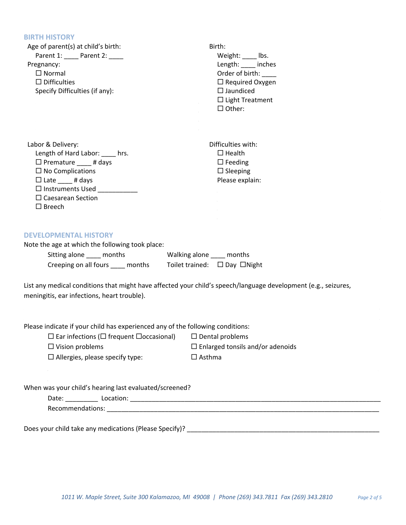### **BIRTH HISTORY**

| Age of parent(s) at child's birth:<br>Parent 1: _____ Parent 2: ____<br>Pregnancy:<br>$\Box$ Normal<br>$\Box$ Difficulties<br>Specify Difficulties (if any):                                                                            | Birth:<br>Weight: _____ lbs.<br>Length: _____ inches<br>Order of birth:<br>$\Box$ Required Oxygen<br>$\Box$ Jaundiced<br>$\Box$ Light Treatment<br>$\Box$ Other: |
|-----------------------------------------------------------------------------------------------------------------------------------------------------------------------------------------------------------------------------------------|------------------------------------------------------------------------------------------------------------------------------------------------------------------|
| Labor & Delivery:<br>Length of Hard Labor: ____ hrs.<br>$\Box$ Premature $\Box$ # days<br>$\Box$ No Complications<br>$\Box$ Late $\_\_\_\#$ days<br>$\Box$ Instruments Used $\Box$<br>$\Box$ Caesarean Section<br>$\Box$ Breech         | Difficulties with:<br>$\Box$ Health<br>$\Box$ Feeding<br>$\Box$ Sleeping<br>Please explain:                                                                      |
| <b>DEVELOPMENTAL HISTORY</b><br>Note the age at which the following took place:<br>Sitting alone _____ months Walking alone ____ months<br>Creeping on all fours ____ months<br>meningitis, ear infections, heart trouble).             | Toilet trained: □ Day □ Night<br>List any medical conditions that might have affected your child's speech/language development (e.g., seizures,                  |
| Please indicate if your child has experienced any of the following conditions:<br>$\Box$ Ear infections ( $\Box$ frequent $\Box$ occasional) $\Box$ Dental problems<br>$\Box$ Vision problems<br>$\Box$ Allergies, please specify type: | $\Box$ Enlarged tonsils and/or adenoids<br>$\Box$ Asthma                                                                                                         |
| When was your child's hearing last evaluated/screened?                                                                                                                                                                                  |                                                                                                                                                                  |

Date: \_\_\_\_\_\_\_\_\_ Location: \_\_\_\_\_\_\_\_\_\_\_\_\_\_\_\_\_\_\_\_\_\_\_\_\_\_\_\_\_\_\_\_\_\_\_\_\_\_\_\_\_\_\_\_\_\_\_\_\_\_\_\_\_\_\_\_\_\_\_\_\_\_\_\_\_\_\_\_\_

Recommendations: \_\_\_\_\_\_\_\_\_\_\_\_\_\_\_\_\_\_\_\_\_\_\_\_\_\_\_\_\_\_\_\_\_\_\_\_\_\_\_\_\_\_\_\_\_\_\_\_\_\_\_\_\_\_\_\_\_\_\_\_\_\_\_\_\_\_\_\_\_\_\_\_\_\_\_

Does your child take any medications (Please Specify)? \_\_\_\_\_\_\_\_\_\_\_\_\_\_\_\_\_\_\_\_\_\_\_\_\_\_\_\_\_\_\_\_\_\_\_\_\_\_\_\_\_\_\_\_\_\_\_\_\_\_\_\_\_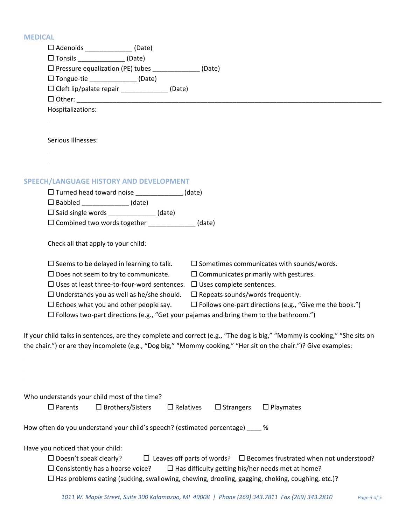### **MED**

| <b>MEDICAL</b>                                                                                                            |
|---------------------------------------------------------------------------------------------------------------------------|
| □ Adenoids _______________(Date)                                                                                          |
| $\square$ Tonsils ________________ (Date)                                                                                 |
| □ Pressure equalization (PE) tubes ______________(Date)                                                                   |
| □ Tongue-tie _____________(Date)                                                                                          |
| □ Cleft lip/palate repair ______________(Date)                                                                            |
|                                                                                                                           |
| Hospitalizations:                                                                                                         |
|                                                                                                                           |
|                                                                                                                           |
| Serious Illnesses:                                                                                                        |
|                                                                                                                           |
|                                                                                                                           |
|                                                                                                                           |
| SPEECH/LANGUAGE HISTORY AND DEVELOPMENT                                                                                   |
| □ Turned head toward noise ______________(date)                                                                           |
| $\Box$ Babbled ______________(date)                                                                                       |
| □ Said single words _____________(date)                                                                                   |
| □ Combined two words together ____________(date)                                                                          |
|                                                                                                                           |
| Check all that apply to your child:                                                                                       |
| $\square$ Seems to be delayed in learning to talk.<br>$\square$ Sometimes communicates with sounds/words.                 |
| $\square$ Does not seem to try to communicate.<br>$\square$ Communicates primarily with gestures.                         |
| $\Box$ Uses at least three-to-four-word sentences. $\Box$ Uses complete sentences.                                        |
| $\Box$ Understands you as well as he/she should.<br>$\Box$ Repeats sounds/words frequently.                               |
| $\Box$ Follows one-part directions (e.g., "Give me the book.")<br>$\Box$ Echoes what you and other people say.            |
| $\Box$ Follows two-part directions (e.g., "Get your pajamas and bring them to the bathroom.")                             |
|                                                                                                                           |
| If your child talks in sentences, are they complete and correct (e.g., "The dog is big," "Mommy is cooking," "She sits on |
| the chair.") or are they incomplete (e.g., "Dog big," "Mommy cooking," "Her sit on the chair.")? Give examples:           |

|                                                                           |                                   | Who understands your child most of the time? |                  |                  |                                                                                                                                                                                                                                                        |
|---------------------------------------------------------------------------|-----------------------------------|----------------------------------------------|------------------|------------------|--------------------------------------------------------------------------------------------------------------------------------------------------------------------------------------------------------------------------------------------------------|
|                                                                           | $\Box$ Parents                    | $\Box$ Brothers/Sisters                      | $\Box$ Relatives | $\Box$ Strangers | $\Box$ Playmates                                                                                                                                                                                                                                       |
| How often do you understand your child's speech? (estimated percentage) % |                                   |                                              |                  |                  |                                                                                                                                                                                                                                                        |
|                                                                           | Have you noticed that your child: |                                              |                  |                  |                                                                                                                                                                                                                                                        |
|                                                                           | $\Box$ Doesn't speak clearly?     | $\Box$ Consistently has a hoarse voice?      |                  |                  | $\Box$ Leaves off parts of words? $\Box$ Becomes frustrated when not understood?<br>$\Box$ Has difficulty getting his/her needs met at home?<br>$\Box$ Has problems eating (sucking, swallowing, chewing, drooling, gagging, choking, coughing, etc.)? |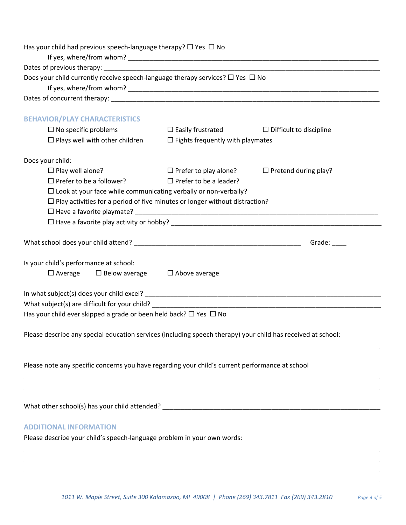| Has your child had previous speech-language therapy? $\Box$ Yes $\Box$ No                                    |                                         |                                |
|--------------------------------------------------------------------------------------------------------------|-----------------------------------------|--------------------------------|
|                                                                                                              |                                         |                                |
|                                                                                                              |                                         |                                |
| Does your child currently receive speech-language therapy services? $\Box$ Yes $\Box$ No                     |                                         |                                |
|                                                                                                              |                                         |                                |
|                                                                                                              |                                         |                                |
| <b>BEHAVIOR/PLAY CHARACTERISTICS</b>                                                                         |                                         |                                |
| $\Box$ No specific problems                                                                                  | $\square$ Easily frustrated             | $\Box$ Difficult to discipline |
| $\Box$ Plays well with other children                                                                        | $\Box$ Fights frequently with playmates |                                |
| Does your child:                                                                                             |                                         |                                |
| $\Box$ Play well alone?                                                                                      | $\Box$ Prefer to play alone?            | $\Box$ Pretend during play?    |
| $\Box$ Prefer to be a follower?                                                                              | $\Box$ Prefer to be a leader?           |                                |
| $\Box$ Look at your face while communicating verbally or non-verbally?                                       |                                         |                                |
| $\Box$ Play activities for a period of five minutes or longer without distraction?                           |                                         |                                |
|                                                                                                              |                                         |                                |
|                                                                                                              |                                         |                                |
|                                                                                                              |                                         |                                |
|                                                                                                              |                                         | Grade: _____                   |
|                                                                                                              |                                         |                                |
| Is your child's performance at school:                                                                       |                                         |                                |
| $\Box$ Below average $\Box$ Above average<br>$\square$ Average                                               |                                         |                                |
|                                                                                                              |                                         |                                |
|                                                                                                              |                                         |                                |
| What subject(s) are difficult for your child?                                                                |                                         |                                |
| Has your child ever skipped a grade or been held back? $\Box$ Yes $\Box$ No                                  |                                         |                                |
|                                                                                                              |                                         |                                |
| Please describe any special education services (including speech therapy) your child has received at school: |                                         |                                |
|                                                                                                              |                                         |                                |
|                                                                                                              |                                         |                                |
| Please note any specific concerns you have regarding your child's current performance at school              |                                         |                                |
|                                                                                                              |                                         |                                |
|                                                                                                              |                                         |                                |
|                                                                                                              |                                         |                                |
|                                                                                                              |                                         |                                |
| <b>ADDITIONAL INFORMATION</b>                                                                                |                                         |                                |
| Please describe your child's speech-language problem in your own words:                                      |                                         |                                |